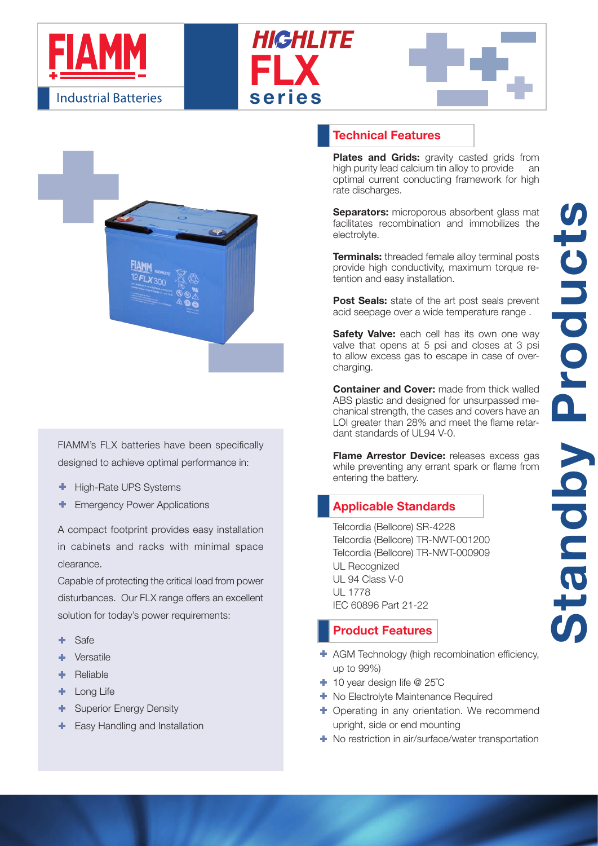







FIAMM's FLX batteries have been specifically designed to achieve optimal performance in:

- ÷ High-Rate UPS Systems
- Emergency Power Applications

A compact footprint provides easy installation in cabinets and racks with minimal space clearance.

Capable of protecting the critical load from power disturbances. Our FLX range offers an excellent solution for today's power requirements:

- ٠ Safe
- Versatile
- ÷ Reliable
- Long Life ÷.
- ÷ Superior Energy Density
- Easy Handling and Installation

### Technical Features

Plates and Grids: gravity casted grids from high purity lead calcium tin alloy to provide an optimal current conducting framework for high rate discharges.

**Separators:** microporous absorbent glass mat facilitates recombination and immobilizes the electrolyte.

**Terminals:** threaded female alloy terminal posts provide high conductivity, maximum torque retention and easy installation.

Post Seals: state of the art post seals prevent acid seepage over a wide temperature range .

Safety Valve: each cell has its own one way valve that opens at 5 psi and closes at 3 psi to allow excess gas to escape in case of overcharging.

**Container and Cover:** made from thick walled ABS plastic and designed for unsurpassed mechanical strength, the cases and covers have an LOI greater than 28% and meet the flame retardant standards of UL94 V-0.

Flame Arrestor Device: releases excess gas while preventing any errant spark or flame from entering the battery.

## Applicable Standards

Telcordia (Bellcore) SR-4228 Telcordia (Bellcore) TR-NWT-001200 Telcordia (Bellcore) TR-NWT-000909 UL Recognized UL 94 Class V-0 UL 1778 IEC 60896 Part 21-22

### Product Features

- AGM Technology (high recombination efficiency, up to 99%)
- 10 year design life @ 25˚C
- $\blacksquare$  No Electrolyte Maintenance Required
- **+** Operating in any orientation. We recommend upright, side or end mounting
- **← No restriction in air/surface/water transportation**